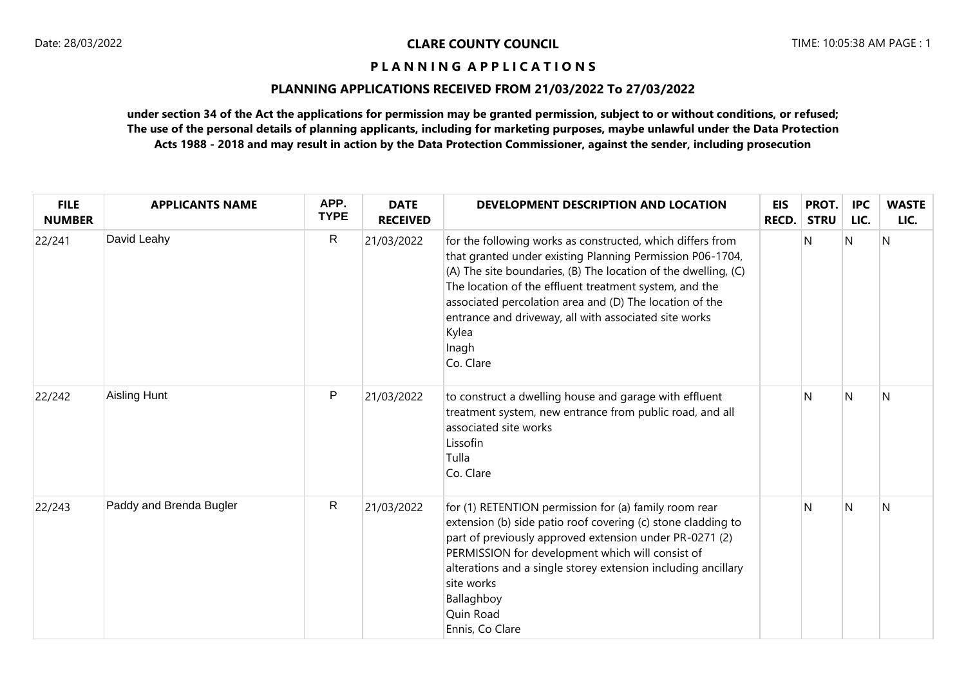# **PLANNING APPLICATIONS RECEIVED FROM 21/03/2022 To 27/03/2022**

| <b>FILE</b><br><b>NUMBER</b> | <b>APPLICANTS NAME</b>  | APP.<br><b>TYPE</b> | <b>DATE</b><br><b>RECEIVED</b> | DEVELOPMENT DESCRIPTION AND LOCATION                                                                                                                                                                                                                                                                                                                                                                   | <b>EIS</b><br>RECD. | PROT.<br><b>STRU</b> | <b>IPC</b><br>LIC. | <b>WASTE</b><br>LIC. |
|------------------------------|-------------------------|---------------------|--------------------------------|--------------------------------------------------------------------------------------------------------------------------------------------------------------------------------------------------------------------------------------------------------------------------------------------------------------------------------------------------------------------------------------------------------|---------------------|----------------------|--------------------|----------------------|
| 22/241                       | David Leahy             | R                   | 21/03/2022                     | for the following works as constructed, which differs from<br>that granted under existing Planning Permission P06-1704,<br>(A) The site boundaries, (B) The location of the dwelling, (C)<br>The location of the effluent treatment system, and the<br>associated percolation area and (D) The location of the<br>entrance and driveway, all with associated site works<br>Kylea<br>Inagh<br>Co. Clare |                     | N                    | N                  | IN.                  |
| 22/242                       | Aisling Hunt            | $\mathsf{P}$        | 21/03/2022                     | to construct a dwelling house and garage with effluent<br>treatment system, new entrance from public road, and all<br>associated site works<br>Lissofin<br>Tulla<br>Co. Clare                                                                                                                                                                                                                          |                     | N                    | <sup>N</sup>       | N                    |
| 22/243                       | Paddy and Brenda Bugler | $\mathsf{R}$        | 21/03/2022                     | for (1) RETENTION permission for (a) family room rear<br>extension (b) side patio roof covering (c) stone cladding to<br>part of previously approved extension under PR-0271 (2)<br>PERMISSION for development which will consist of<br>alterations and a single storey extension including ancillary<br>site works<br>Ballaghboy<br>Quin Road<br>Ennis, Co Clare                                      |                     | N                    | $\overline{N}$     | N                    |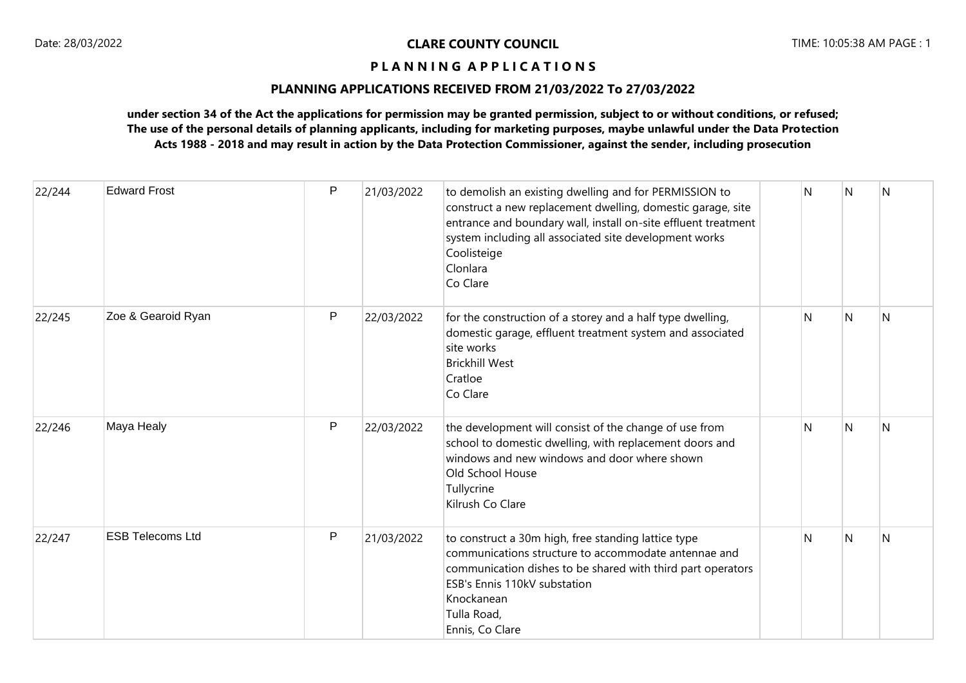## **PLANNING APPLICATIONS RECEIVED FROM 21/03/2022 To 27/03/2022**

| 22/244 | <b>Edward Frost</b>     | P            | 21/03/2022 | to demolish an existing dwelling and for PERMISSION to<br>construct a new replacement dwelling, domestic garage, site<br>entrance and boundary wall, install on-site effluent treatment<br>system including all associated site development works<br>Coolisteige<br>Clonlara<br>Co Clare | N | N | $\overline{N}$ |
|--------|-------------------------|--------------|------------|------------------------------------------------------------------------------------------------------------------------------------------------------------------------------------------------------------------------------------------------------------------------------------------|---|---|----------------|
| 22/245 | Zoe & Gearoid Ryan      | $\mathsf{P}$ | 22/03/2022 | for the construction of a storey and a half type dwelling,<br>domestic garage, effluent treatment system and associated<br>site works<br><b>Brickhill West</b><br>Cratloe<br>Co Clare                                                                                                    | N | N | N              |
| 22/246 | Maya Healy              | $\mathsf{P}$ | 22/03/2022 | the development will consist of the change of use from<br>school to domestic dwelling, with replacement doors and<br>windows and new windows and door where shown<br>Old School House<br>Tullycrine<br>Kilrush Co Clare                                                                  | N | N | N              |
| 22/247 | <b>ESB Telecoms Ltd</b> | P            | 21/03/2022 | to construct a 30m high, free standing lattice type<br>communications structure to accommodate antennae and<br>communication dishes to be shared with third part operators<br>ESB's Ennis 110kV substation<br>Knockanean<br>Tulla Road,<br>Ennis, Co Clare                               | N | N | N              |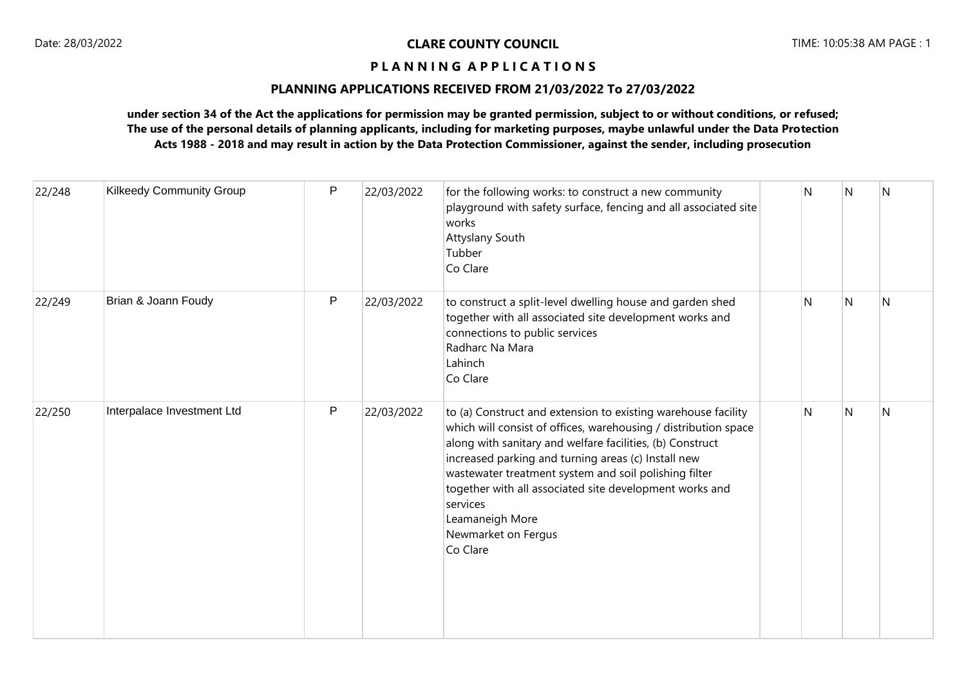## **PLANNING APPLICATIONS RECEIVED FROM 21/03/2022 To 27/03/2022**

| 22/248 | <b>Kilkeedy Community Group</b> | $\mathsf{P}$ | 22/03/2022 | for the following works: to construct a new community<br>playground with safety surface, fencing and all associated site<br>works<br>Attyslany South<br>Tubber<br>Co Clare                                                                                                                                                                                                                                                                 | N | N | N |
|--------|---------------------------------|--------------|------------|--------------------------------------------------------------------------------------------------------------------------------------------------------------------------------------------------------------------------------------------------------------------------------------------------------------------------------------------------------------------------------------------------------------------------------------------|---|---|---|
| 22/249 | Brian & Joann Foudy             | P            | 22/03/2022 | to construct a split-level dwelling house and garden shed<br>together with all associated site development works and<br>connections to public services<br>Radharc Na Mara<br>Lahinch<br>Co Clare                                                                                                                                                                                                                                           | N | N | N |
| 22/250 | Interpalace Investment Ltd      | P            | 22/03/2022 | to (a) Construct and extension to existing warehouse facility<br>which will consist of offices, warehousing / distribution space<br>along with sanitary and welfare facilities, (b) Construct<br>increased parking and turning areas (c) Install new<br>wastewater treatment system and soil polishing filter<br>together with all associated site development works and<br>services<br>Leamaneigh More<br>Newmarket on Fergus<br>Co Clare | N | N | N |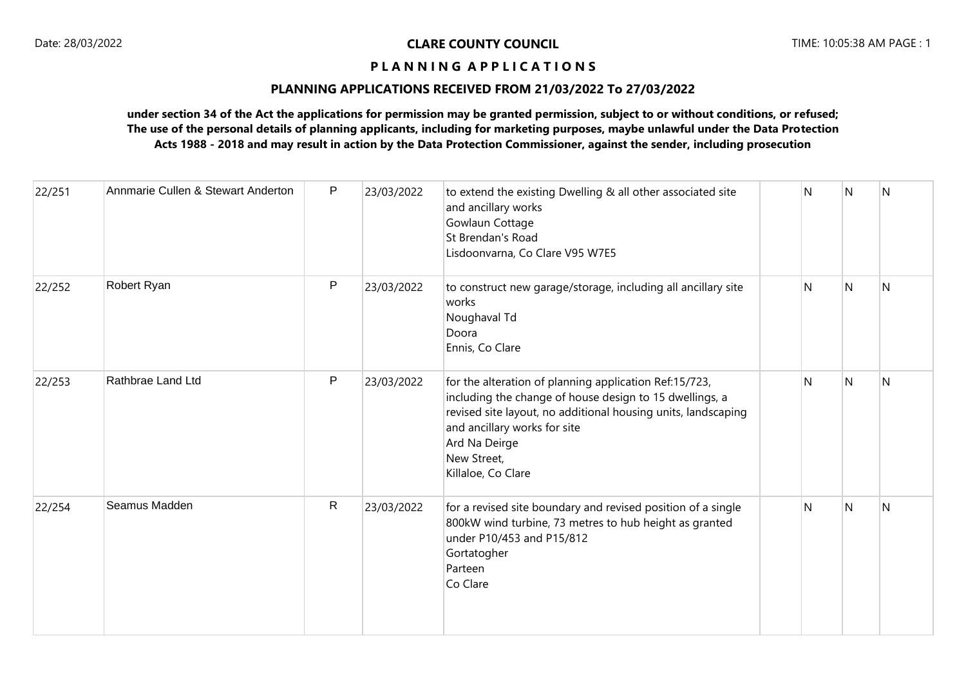## **PLANNING APPLICATIONS RECEIVED FROM 21/03/2022 To 27/03/2022**

| 22/251 | Annmarie Cullen & Stewart Anderton | P  | 23/03/2022 | to extend the existing Dwelling & all other associated site<br>and ancillary works<br>Gowlaun Cottage<br>St Brendan's Road<br>Lisdoonvarna, Co Clare V95 W7E5                                                                                                            | N | N              | N |
|--------|------------------------------------|----|------------|--------------------------------------------------------------------------------------------------------------------------------------------------------------------------------------------------------------------------------------------------------------------------|---|----------------|---|
| 22/252 | Robert Ryan                        | P  | 23/03/2022 | to construct new garage/storage, including all ancillary site<br>works<br>Noughaval Td<br>Doora<br>Ennis, Co Clare                                                                                                                                                       | N | $\overline{N}$ | N |
| 22/253 | Rathbrae Land Ltd                  | P  | 23/03/2022 | for the alteration of planning application Ref:15/723,<br>including the change of house design to 15 dwellings, a<br>revised site layout, no additional housing units, landscaping<br>and ancillary works for site<br>Ard Na Deirge<br>New Street,<br>Killaloe, Co Clare | N | N              | N |
| 22/254 | Seamus Madden                      | R. | 23/03/2022 | for a revised site boundary and revised position of a single<br>800kW wind turbine, 73 metres to hub height as granted<br>under P10/453 and P15/812<br>Gortatogher<br>Parteen<br>Co Clare                                                                                | N | N              | N |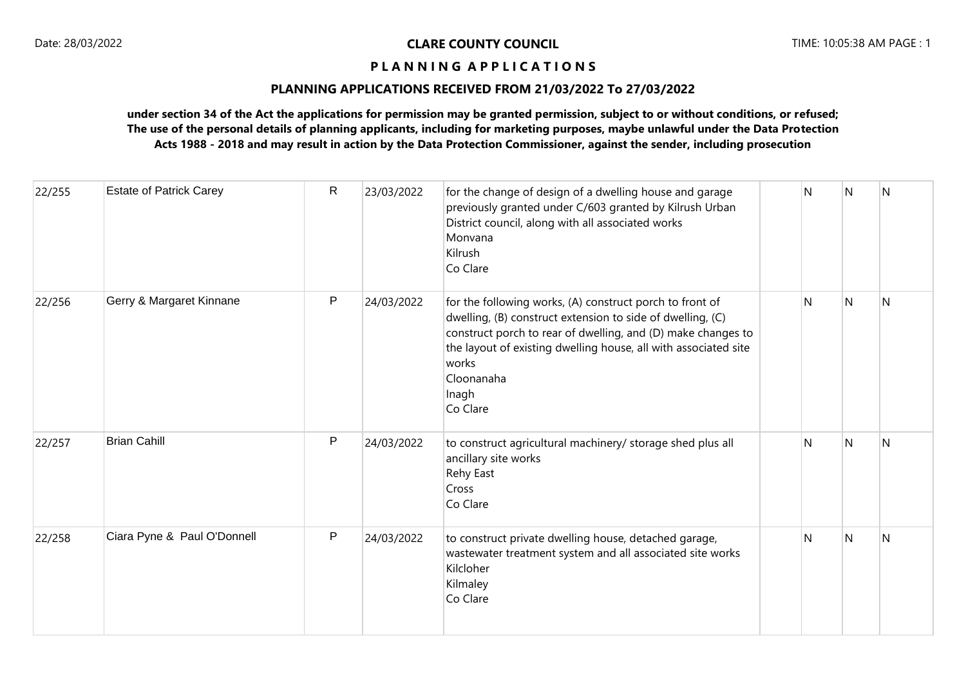## **PLANNING APPLICATIONS RECEIVED FROM 21/03/2022 To 27/03/2022**

| 22/255 | <b>Estate of Patrick Carey</b> | $\mathsf R$  | 23/03/2022 | for the change of design of a dwelling house and garage<br>previously granted under C/603 granted by Kilrush Urban<br>District council, along with all associated works<br>Monvana<br>Kilrush<br>Co Clare                                                                                             | N | <sup>N</sup> | N            |
|--------|--------------------------------|--------------|------------|-------------------------------------------------------------------------------------------------------------------------------------------------------------------------------------------------------------------------------------------------------------------------------------------------------|---|--------------|--------------|
| 22/256 | Gerry & Margaret Kinnane       | P            | 24/03/2022 | for the following works, (A) construct porch to front of<br>dwelling, (B) construct extension to side of dwelling, (C)<br>construct porch to rear of dwelling, and (D) make changes to<br>the layout of existing dwelling house, all with associated site<br>works<br>Cloonanaha<br>Inagh<br>Co Clare | N | N            | $\mathsf{N}$ |
| 22/257 | <b>Brian Cahill</b>            | $\mathsf{P}$ | 24/03/2022 | to construct agricultural machinery/ storage shed plus all<br>ancillary site works<br>Rehy East<br>Cross<br>Co Clare                                                                                                                                                                                  | N | N            | N            |
| 22/258 | Ciara Pyne & Paul O'Donnell    | $\mathsf{P}$ | 24/03/2022 | to construct private dwelling house, detached garage,<br>wastewater treatment system and all associated site works<br>Kilcloher<br>Kilmaley<br>Co Clare                                                                                                                                               | N | $\mathsf{N}$ | N            |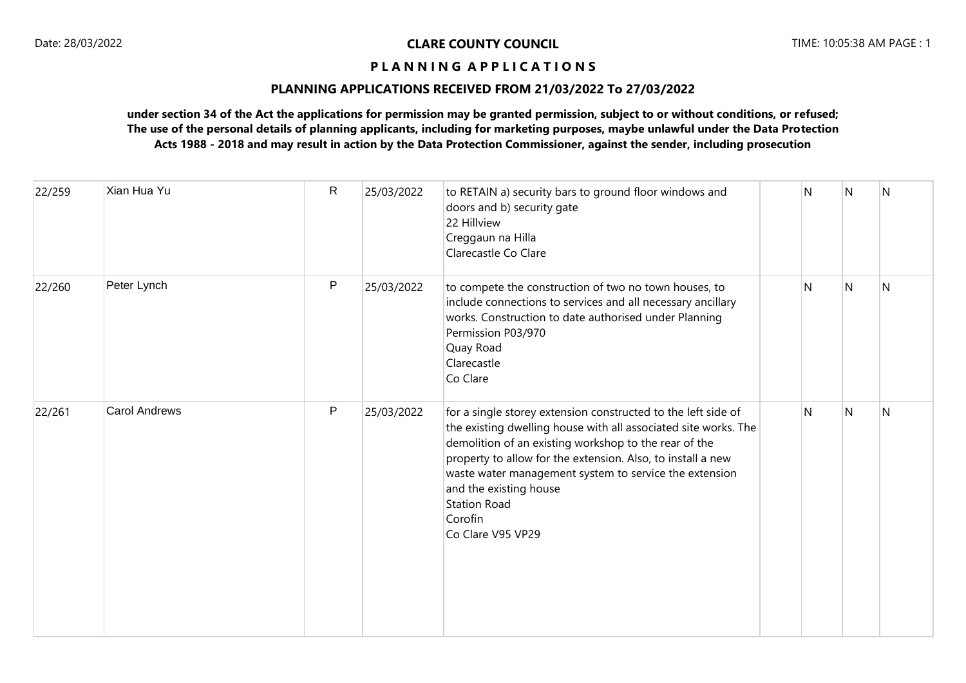# **PLANNING APPLICATIONS RECEIVED FROM 21/03/2022 To 27/03/2022**

| 22/259 | Xian Hua Yu          | R | 25/03/2022 | to RETAIN a) security bars to ground floor windows and<br>doors and b) security gate<br>22 Hillview<br>Creggaun na Hilla<br>Clarecastle Co Clare                                                                                                                                                                                                                                                    | N  | N              | $\overline{N}$ |
|--------|----------------------|---|------------|-----------------------------------------------------------------------------------------------------------------------------------------------------------------------------------------------------------------------------------------------------------------------------------------------------------------------------------------------------------------------------------------------------|----|----------------|----------------|
| 22/260 | Peter Lynch          | P | 25/03/2022 | to compete the construction of two no town houses, to<br>include connections to services and all necessary ancillary<br>works. Construction to date authorised under Planning<br>Permission P03/970<br>Quay Road<br>Clarecastle<br>Co Clare                                                                                                                                                         | N. | N              | <sup>N</sup>   |
| 22/261 | <b>Carol Andrews</b> | P | 25/03/2022 | for a single storey extension constructed to the left side of<br>the existing dwelling house with all associated site works. The<br>demolition of an existing workshop to the rear of the<br>property to allow for the extension. Also, to install a new<br>waste water management system to service the extension<br>and the existing house<br><b>Station Road</b><br>Corofin<br>Co Clare V95 VP29 | N  | $\overline{N}$ | $\overline{N}$ |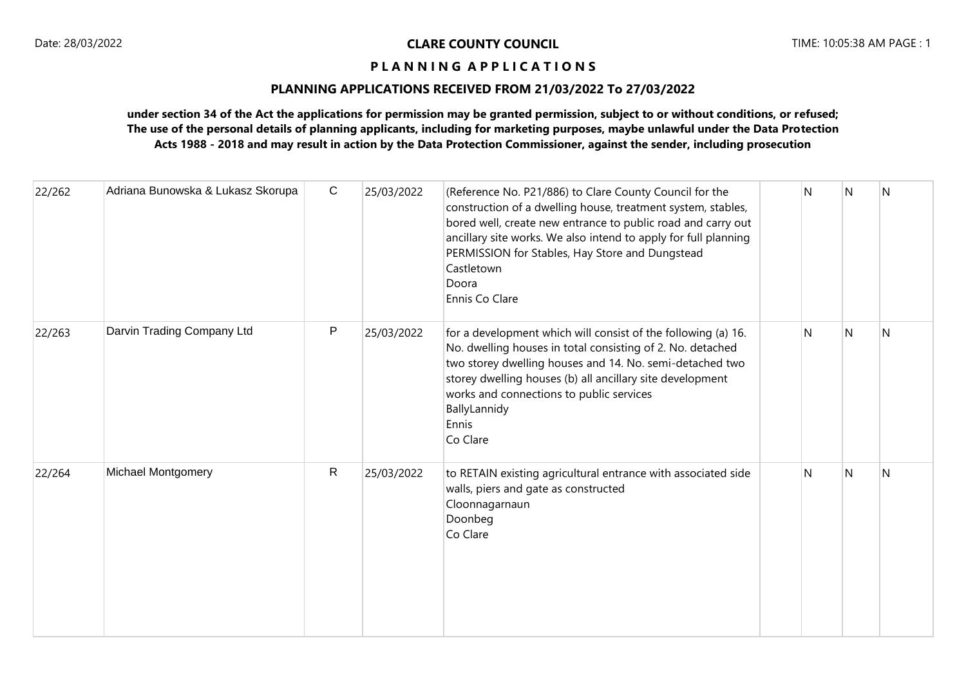## **PLANNING APPLICATIONS RECEIVED FROM 21/03/2022 To 27/03/2022**

| 22/262 | Adriana Bunowska & Lukasz Skorupa | $\mathsf{C}$ | 25/03/2022 | (Reference No. P21/886) to Clare County Council for the<br>construction of a dwelling house, treatment system, stables,<br>bored well, create new entrance to public road and carry out<br>ancillary site works. We also intend to apply for full planning<br>PERMISSION for Stables, Hay Store and Dungstead<br>Castletown<br>Doora<br>Ennis Co Clare | $\mathsf{N}$ | N              | N |
|--------|-----------------------------------|--------------|------------|--------------------------------------------------------------------------------------------------------------------------------------------------------------------------------------------------------------------------------------------------------------------------------------------------------------------------------------------------------|--------------|----------------|---|
| 22/263 | Darvin Trading Company Ltd        | P            | 25/03/2022 | for a development which will consist of the following (a) 16.<br>No. dwelling houses in total consisting of 2. No. detached<br>two storey dwelling houses and 14. No. semi-detached two<br>storey dwelling houses (b) all ancillary site development<br>works and connections to public services<br>BallyLannidy<br>Ennis<br>Co Clare                  | N            | N              | N |
| 22/264 | Michael Montgomery                | $\mathsf{R}$ | 25/03/2022 | to RETAIN existing agricultural entrance with associated side<br>walls, piers and gate as constructed<br>Cloonnagarnaun<br>Doonbeg<br>Co Clare                                                                                                                                                                                                         | N            | $\overline{N}$ | N |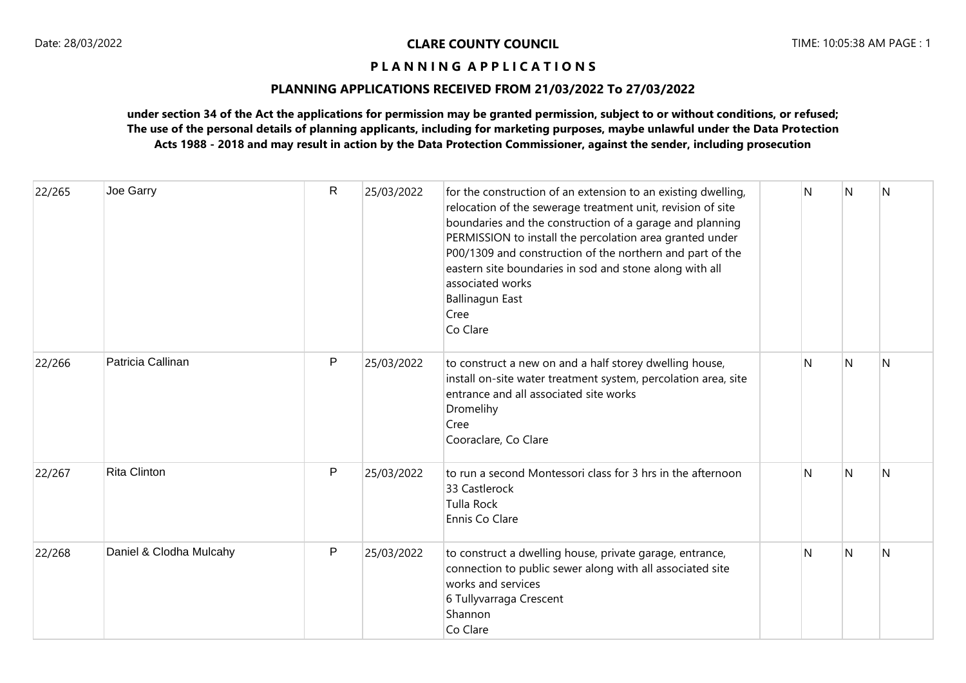## **PLANNING APPLICATIONS RECEIVED FROM 21/03/2022 To 27/03/2022**

| 22/265 | Joe Garry               | $\mathsf{R}$ | 25/03/2022 | for the construction of an extension to an existing dwelling,<br>relocation of the sewerage treatment unit, revision of site<br>boundaries and the construction of a garage and planning<br>PERMISSION to install the percolation area granted under<br>P00/1309 and construction of the northern and part of the<br>eastern site boundaries in sod and stone along with all<br>associated works<br>Ballinagun East<br>Cree<br>Co Clare | N | N | N |
|--------|-------------------------|--------------|------------|-----------------------------------------------------------------------------------------------------------------------------------------------------------------------------------------------------------------------------------------------------------------------------------------------------------------------------------------------------------------------------------------------------------------------------------------|---|---|---|
| 22/266 | Patricia Callinan       | P            | 25/03/2022 | to construct a new on and a half storey dwelling house,<br>install on-site water treatment system, percolation area, site<br>entrance and all associated site works<br>Dromelihy<br>Cree<br>Cooraclare, Co Clare                                                                                                                                                                                                                        | N | N | N |
| 22/267 | <b>Rita Clinton</b>     | P            | 25/03/2022 | to run a second Montessori class for 3 hrs in the afternoon<br>33 Castlerock<br><b>Tulla Rock</b><br>Ennis Co Clare                                                                                                                                                                                                                                                                                                                     | N | N | N |
| 22/268 | Daniel & Clodha Mulcahy | P            | 25/03/2022 | to construct a dwelling house, private garage, entrance,<br>connection to public sewer along with all associated site<br>works and services<br>6 Tullyvarraga Crescent<br>Shannon<br>Co Clare                                                                                                                                                                                                                                           | N | N | N |